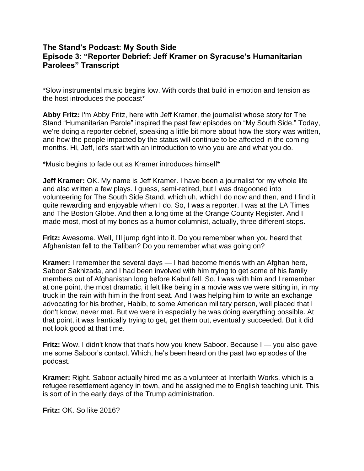## **The Stand's Podcast: My South Side Episode 3: "Reporter Debrief: Jeff Kramer on Syracuse's Humanitarian Parolees" Transcrip[t](/Users/aehanry/Downloads/Episode%203%20My%20South%20Side%20Transcript%20for%20Access.pdf#page=7)**

\*Slow instrumental music begins low. With cords that build in emotion and tension as the host introduces the podcast\*

**Abby Fritz:** I'm Abby Fritz, here with Jeff Kramer, the journalist whose story for The Stand "Humanitarian Parole" inspired the past few episodes on "My South Side." Today, we're doing a reporter debrief, speaking a little bit more about how the story was written, and how the people impacted by the status will continue to be affected in the coming months. Hi, Jeff, let's start with an introduction to who you are and what you do.

\*Music begins to fade out as Kramer introduces himself\*

**Jeff Kramer:** OK. My name is Jeff Kramer. I have been a journalist for my whole life and also written a few plays. I guess, semi-retired, but I was dragooned into volunteering for The South Side Stand, which uh, which I do now and then, and I find it quite rewarding and enjoyable when I do. So, I was a reporter. I was at the LA Times and The Boston Globe. And then a long time at the Orange County Register. And I made most, most of my bones as a humor columnist, actually, three different stops.

**Fritz:** Awesome. Well, I'll jump right into it. Do you remember when you heard that Afghanistan fell to the Taliban? Do you remember what was going on?

**Kramer:** I remember the several days — I had become friends with an Afghan here, Saboor Sakhizada, and I had been involved with him trying to get some of his family members out of Afghanistan long before Kabul fell. So, I was with him and I remember at one point, the most dramatic, it felt like being in a movie was we were sitting in, in my truck in the rain with him in the front seat. And I was helping him to write an exchange advocating for his brother, Habib, to some American military person, well placed that I don't know, never met. But we were in especially he was doing everything possible. At that point, it was frantically trying to get, get them out, eventually succeeded. But it did not look good at that time.

**Fritz:** Wow. I didn't know that that's how you knew Saboor. Because I — you also gave me some Saboor's contact. Which, he's been heard on the past two episodes of the podcast.

**Kramer:** Right. Saboor actually hired me as a volunteer at Interfaith Works, which is a refugee resettlement agency in town, and he assigned me to English teaching unit. This is sort of in the early days of the Trump administration.

**Fritz:** OK. So like 2016?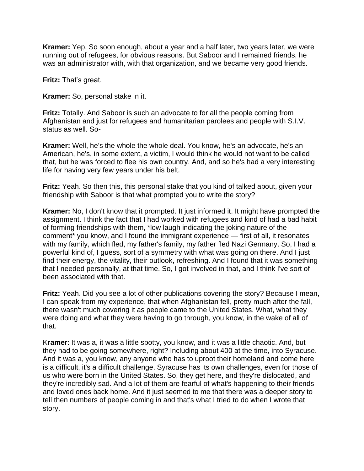**Kramer:** Yep. So soon enough, about a year and a half later, two years later, we were running out of refugees, for obvious reasons. But Saboor and I remained friends, he was an administrator with, with that organization, and we became very good friends.

**Fritz:** That's great.

**Kramer:** So, personal stake in it.

**Fritz:** Totally. And Saboor is such an advocate to for all the people coming from Afghanistan and just for refugees and humanitarian parolees and people with S.I.V. status as well. So-

**Kramer:** Well, he's the whole the whole deal. You know, he's an advocate, he's an American, he's, in some extent, a victim, I would think he would not want to be called that, but he was forced to flee his own country. And, and so he's had a very interesting life for having very few years under his belt.

**Fritz:** Yeah. So then this, this personal stake that you kind of talked about, given your friendship with Saboor is that what prompted you to write the story?

**Kramer:** No, I don't know that it prompted. It just informed it. It might have prompted the assignment. I think the fact that I had worked with refugees and kind of had a bad habit of forming friendships with them, \*low laugh indicating the joking nature of the comment\* you know, and I found the immigrant experience — first of all, it resonates with my family, which fled, my father's family, my father fled Nazi Germany. So, I had a powerful kind of, I guess, sort of a symmetry with what was going on there. And I just find their energy, the vitality, their outlook, refreshing. And I found that it was something that I needed personally, at that time. So, I got involved in that, and I think I've sort of been associated with that.

**Fritz:** Yeah. Did you see a lot of other publications covering the story? Because I mean, I can speak from my experience, that when Afghanistan fell, pretty much after the fall, there wasn't much covering it as people came to the United States. What, what they were doing and what they were having to go through, you know, in the wake of all of that.

K**ramer**: It was a, it was a little spotty, you know, and it was a little chaotic. And, but they had to be going somewhere, right? Including about 400 at the time, into Syracuse. And it was a, you know, any anyone who has to uproot their homeland and come here is a difficult, it's a difficult challenge. Syracuse has its own challenges, even for those of us who were born in the United States. So, they get here, and they're dislocated, and they're incredibly sad. And a lot of them are fearful of what's happening to their friends and loved ones back home. And it just seemed to me that there was a deeper story to tell then numbers of people coming in and that's what I tried to do when I wrote that story.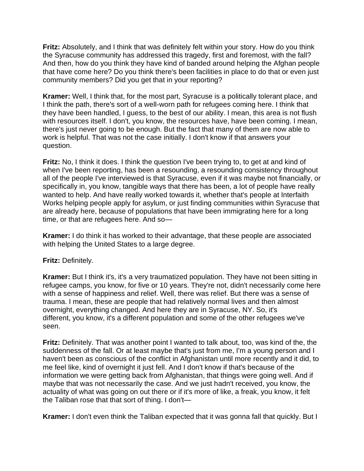**Fritz:** Absolutely, and I think that was definitely felt within your story. How do you think the Syracuse community has addressed this tragedy, first and foremost, with the fall? And then, how do you think they have kind of banded around helping the Afghan people that have come here? Do you think there's been facilities in place to do that or even just community members? Did you get that in your reporting?

**Kramer:** Well, I think that, for the most part, Syracuse is a politically tolerant place, and I think the path, there's sort of a well-worn path for refugees coming here. I think that they have been handled, I guess, to the best of our ability. I mean, this area is not flush with resources itself. I don't, you know, the resources have, have been coming. I mean, there's just never going to be enough. But the fact that many of them are now able to work is helpful. That was not the case initially. I don't know if that answers your question.

**Fritz:** No, I think it does. I think the question I've been trying to, to get at and kind of when I've been reporting, has been a resounding, a resounding consistency throughout all of the people I've interviewed is that Syracuse, even if it was maybe not financially, or specifically in, you know, tangible ways that there has been, a lot of people have really wanted to help. And have really worked towards it, whether that's people at Interfaith Works helping people apply for asylum, or just finding communities within Syracuse that are already here, because of populations that have been immigrating here for a long time, or that are refugees here. And so—

**Kramer:** I do think it has worked to their advantage, that these people are associated with helping the United States to a large degree.

**Fritz:** Definitely.

**Kramer:** But I think it's, it's a very traumatized population. They have not been sitting in refugee camps, you know, for five or 10 years. They're not, didn't necessarily come here with a sense of happiness and relief. Well, there was relief. But there was a sense of trauma. I mean, these are people that had relatively normal lives and then almost overnight, everything changed. And here they are in Syracuse, NY. So, it's different, you know, it's a different population and some of the other refugees we've seen.

**Fritz:** Definitely. That was another point I wanted to talk about, too, was kind of the, the suddenness of the fall. Or at least maybe that's just from me, I'm a young person and I haven't been as conscious of the conflict in Afghanistan until more recently and it did, to me feel like, kind of overnight it just fell. And I don't know if that's because of the information we were getting back from Afghanistan, that things were going well. And if maybe that was not necessarily the case. And we just hadn't received, you know, the actuality of what was going on out there or if it's more of like, a freak, you know, it felt the Taliban rose that that sort of thing. I don't—

**Kramer:** I don't even think the Taliban expected that it was gonna fall that quickly. But I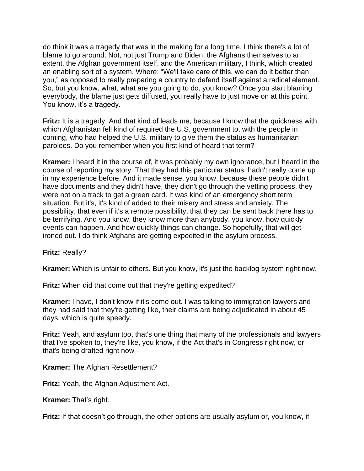do think it was a tragedy that was in the making for a long time. I think there's a lot of blame to go around. Not, not just Trump and Biden, the Afghans themselves to an extent, the Afghan government itself, and the American military, I think, which created an enabling sort of a system. Where: "We'll take care of this, we can do it better than you," as opposed to really preparing a country to defend itself against a radical element. So, but you know, what, what are you going to do, you know? Once you start blaming everybody, the blame just gets diffused, you really have to just move on at this point. You know, it's a tragedy.

**Fritz:** It is a tragedy. And that kind of leads me, because I know that the quickness with which Afghanistan fell kind of required the U.S. government to, with the people in coming, who had helped the U.S. military to give them the status as humanitarian parolees. Do you remember when you first kind of heard that term?

**Kramer:** I heard it in the course of, it was probably my own ignorance, but I heard in the course of reporting my story. That they had this particular status, hadn't really come up in my experience before. And it made sense, you know, because these people didn't have documents and they didn't have, they didn't go through the vetting process, they were not on a track to get a green card. It was kind of an emergency short term situation. But it's, it's kind of added to their misery and stress and anxiety. The possibility, that even if it's a remote possibility, that they can be sent back there has to be terrifying. And you know, they know more than anybody, you know, how quickly events can happen. And how quickly things can change. So hopefully, that will get ironed out. I do think Afghans are getting expedited in the asylum process.

## **Fritz:** Really?

**Kramer:** Which is unfair to others. But you know, it's just the backlog system right now.

**Fritz:** When did that come out that they're getting expedited?

**Kramer:** I have, I don't know if it's come out. I was talking to immigration lawyers and they had said that they're getting like, their claims are being adjudicated in about 45 days, which is quite speedy.

**Fritz:** Yeah, and asylum too, that's one thing that many of the professionals and lawyers that I've spoken to, they're like, you know, if the Act that's in Congress right now, or that's being drafted right now—

**Kramer:** The Afghan Resettlement?

**Fritz:** Yeah, the Afghan Adjustment Act.

**Kramer:** That's right.

**Fritz:** If that doesn't go through, the other options are usually asylum or, you know, if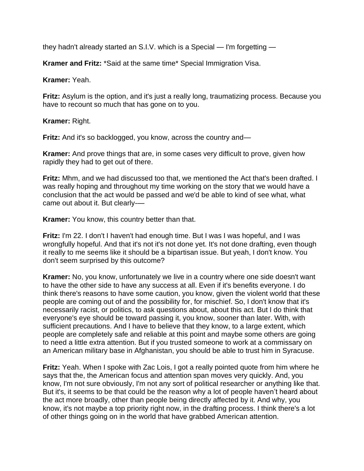they hadn't already started an S.I.V. which is a Special — I'm forgetting —

**Kramer and Fritz:** \*Said at the same time\* Special Immigration Visa.

**Kramer:** Yeah.

**Fritz:** Asylum is the option, and it's just a really long, traumatizing process. Because you have to recount so much that has gone on to you.

**Kramer:** Right.

**Fritz:** And it's so backlogged, you know, across the country and—

**Kramer:** And prove things that are, in some cases very difficult to prove, given how rapidly they had to get out of there.

**Fritz:** Mhm, and we had discussed too that, we mentioned the Act that's been drafted. I was really hoping and throughout my time working on the story that we would have a conclusion that the act would be passed and we'd be able to kind of see what, what came out about it. But clearly-—

**Kramer:** You know, this country better than that.

**Fritz:** I'm 22. I don't I haven't had enough time. But I was I was hopeful, and I was wrongfully hopeful. And that it's not it's not done yet. It's not done drafting, even though it really to me seems like it should be a bipartisan issue. But yeah, I don't know. You don't seem surprised by this outcome?

**Kramer:** No, you know, unfortunately we live in a country where one side doesn't want to have the other side to have any success at all. Even if it's benefits everyone. I do think there's reasons to have some caution, you know, given the violent world that these people are coming out of and the possibility for, for mischief. So, I don't know that it's necessarily racist, or politics, to ask questions about, about this act. But I do think that everyone's eye should be toward passing it, you know, sooner than later. With, with sufficient precautions. And I have to believe that they know, to a large extent, which people are completely safe and reliable at this point and maybe some others are going to need a little extra attention. But if you trusted someone to work at a commissary on an American military base in Afghanistan, you should be able to trust him in Syracuse.

**Fritz:** Yeah. When I spoke with Zac Lois, I got a really pointed quote from him where he says that the, the American focus and attention span moves very quickly. And, you know, I'm not sure obviously, I'm not any sort of political researcher or anything like that. But it's, it seems to be that could be the reason why a lot of people haven't heard about the act more broadly, other than people being directly affected by it. And why, you know, it's not maybe a top priority right now, in the drafting process. I think there's a lot of other things going on in the world that have grabbed American attention.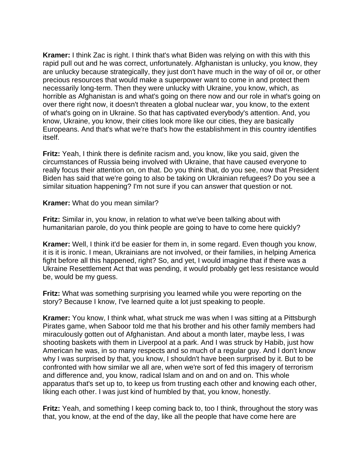**Kramer:** I think Zac is right. I think that's what Biden was relying on with this with this rapid pull out and he was correct, unfortunately. Afghanistan is unlucky, you know, they are unlucky because strategically, they just don't have much in the way of oil or, or other precious resources that would make a superpower want to come in and protect them necessarily long-term. Then they were unlucky with Ukraine, you know, which, as horrible as Afghanistan is and what's going on there now and our role in what's going on over there right now, it doesn't threaten a global nuclear war, you know, to the extent of what's going on in Ukraine. So that has captivated everybody's attention. And, you know, Ukraine, you know, their cities look more like our cities, they are basically Europeans. And that's what we're that's how the establishment in this country identifies itself.

**Fritz:** Yeah, I think there is definite racism and, you know, like you said, given the circumstances of Russia being involved with Ukraine, that have caused everyone to really focus their attention on, on that. Do you think that, do you see, now that President Biden has said that we're going to also be taking on Ukrainian refugees? Do you see a similar situation happening? I'm not sure if you can answer that question or not.

**Kramer:** What do you mean similar?

**Fritz:** Similar in, you know, in relation to what we've been talking about with humanitarian parole, do you think people are going to have to come here quickly?

**Kramer:** Well, I think it'd be easier for them in, in some regard. Even though you know, it is it is ironic. I mean, Ukrainians are not involved, or their families, in helping America fight before all this happened, right? So, and yet, I would imagine that if there was a Ukraine Resettlement Act that was pending, it would probably get less resistance would be, would be my guess.

**Fritz:** What was something surprising you learned while you were reporting on the story? Because I know, I've learned quite a lot just speaking to people.

**Kramer:** You know, I think what, what struck me was when I was sitting at a Pittsburgh Pirates game, when Saboor told me that his brother and his other family members had miraculously gotten out of Afghanistan. And about a month later, maybe less, I was shooting baskets with them in Liverpool at a park. And I was struck by Habib, just how American he was, in so many respects and so much of a regular guy. And I don't know why I was surprised by that, you know, I shouldn't have been surprised by it. But to be confronted with how similar we all are, when we're sort of fed this imagery of terrorism and difference and, you know, radical Islam and on and on and on. This whole apparatus that's set up to, to keep us from trusting each other and knowing each other, liking each other. I was just kind of humbled by that, you know, honestly.

**Fritz:** Yeah, and something I keep coming back to, too I think, throughout the story was that, you know, at the end of the day, like all the people that have come here are